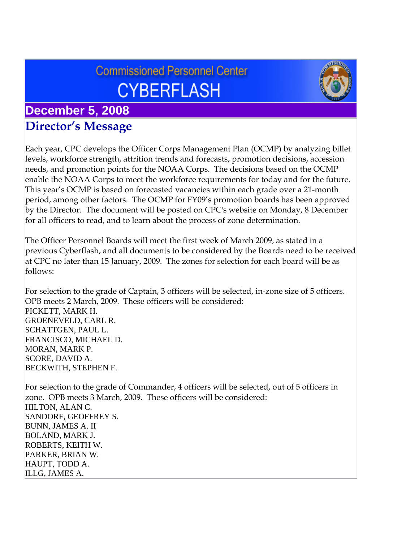# **Commissioned Personnel Center CYBERFLASH**



## **December 5, 2008 Director's Message**

Each year, CPC develops the Officer Corps Management Plan (OCMP) by analyzing billet levels, workforce strength, attrition trends and forecasts, promotion decisions, accession needs, and promotion points for the NOAA Corps. The decisions based on the OCMP enable the NOAA Corps to meet the workforce requirements for today and for the future. This year's OCMP is based on forecasted vacancies within each grade over a 21-month period, among other factors. The OCMP for FY09's promotion boards has been approved by the Director. The document will be posted on CPC's website on Monday, 8 December for all officers to read, and to learn about the process of zone determination.

The Officer Personnel Boards will meet the first week of March 2009, as stated in a previous Cyberflash, and all documents to be considered by the Boards need to be received at CPC no later than 15 January, 2009. The zones for selection for each board will be as follows:

For selection to the grade of Captain, 3 officers will be selected, in-zone size of 5 officers. OPB meets 2 March, 2009. These officers will be considered: PICKETT, MARK H. GROENEVELD, CARL R. SCHATTGEN, PAUL L. FRANCISCO, MICHAEL D. MORAN, MARK P. SCORE, DAVID A. BECKWITH, STEPHEN F.

For selection to the grade of Commander, 4 officers will be selected, out of 5 officers in zone. OPB meets 3 March, 2009. These officers will be considered: HILTON, ALAN C. SANDORF, GEOFFREY S. BUNN, JAMES A. II BOLAND, MARK J. ROBERTS, KEITH W. PARKER, BRIAN W. HAUPT, TODD A. ILLG, JAMES A.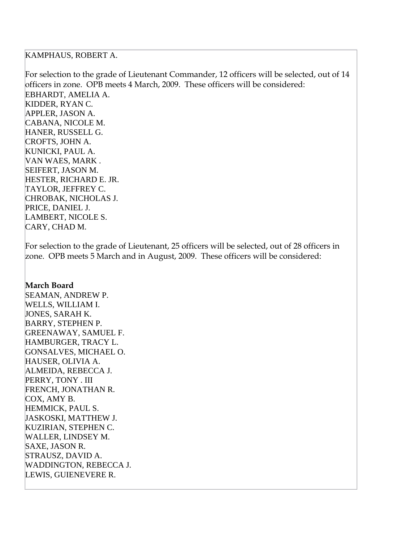#### KAMPHAUS, ROBERT A.

For selection to the grade of Lieutenant Commander, 12 officers will be selected, out of 14 officers in zone. OPB meets 4 March, 2009. These officers will be considered: EBHARDT, AMELIA A. KIDDER, RYAN C. APPLER, JASON A. CABANA, NICOLE M. HANER, RUSSELL G. CROFTS, JOHN A. KUNICKI, PAUL A. VAN WAES, MARK . SEIFERT, JASON M. HESTER, RICHARD E. JR. TAYLOR, JEFFREY C. CHROBAK, NICHOLAS J. PRICE, DANIEL J. LAMBERT, NICOLE S. CARY, CHAD M.

For selection to the grade of Lieutenant, 25 officers will be selected, out of 28 officers in zone. OPB meets 5 March and in August, 2009. These officers will be considered:

#### **March Board**

SEAMAN, ANDREW P. WELLS, WILLIAM I. JONES, SARAH K. BARRY, STEPHEN P. GREENAWAY, SAMUEL F. HAMBURGER, TRACY L. GONSALVES, MICHAEL O. HAUSER, OLIVIA A. ALMEIDA, REBECCA J. PERRY, TONY . III FRENCH, JONATHAN R. COX, AMY B. HEMMICK, PAUL S. JASKOSKI, MATTHEW J. KUZIRIAN, STEPHEN C. WALLER, LINDSEY M. SAXE, JASON R. STRAUSZ, DAVID A. WADDINGTON, REBECCA J. LEWIS, GUIENEVERE R.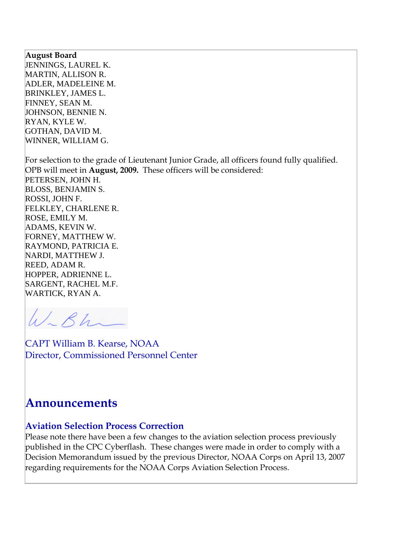#### **August Board**

JENNINGS, LAUREL K. MARTIN, ALLISON R. ADLER, MADELEINE M. BRINKLEY, JAMES L. FINNEY, SEAN M. JOHNSON, BENNIE N. RYAN, KYLE W. GOTHAN, DAVID M. WINNER, WILLIAM G.

For selection to the grade of Lieutenant Junior Grade, all officers found fully qualified. OPB will meet in **August, 2009.** These officers will be considered: PETERSEN, JOHN H. BLOSS, BENJAMIN S. ROSSI, JOHN F. FELKLEY, CHARLENE R. ROSE, EMILY M. ADAMS, KEVIN W. FORNEY, MATTHEW W. RAYMOND, PATRICIA E. NARDI, MATTHEW J. REED, ADAM R. HOPPER, ADRIENNE L. SARGENT, RACHEL M.F. WARTICK, RYAN A.

W-Bh

CAPT William B. Kearse, NOAA Director, Commissioned Personnel Center

## **Announcements**

#### **Aviation Selection Process Correction**

Please note there have been a few changes to the aviation selection process previously published in the CPC Cyberflash. These changes were made in order to comply with a Decision Memorandum issued by the previous Director, NOAA Corps on April 13, 2007 regarding requirements for the NOAA Corps Aviation Selection Process.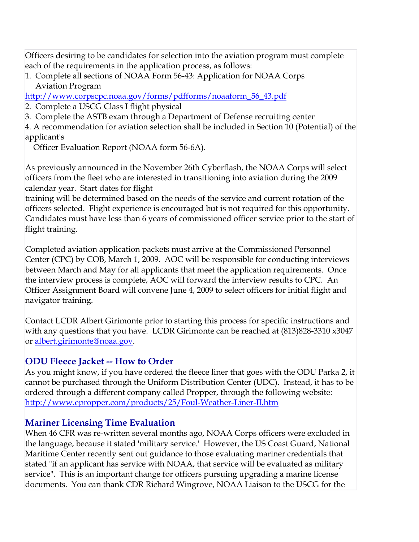Officers desiring to be candidates for selection into the aviation program must complete each of the requirements in the application process, as follows:

1. Complete all sections of NOAA Form 56-43: Application for NOAA Corps Aviation Program

[http://www.corpscpc.noaa.gov/forms/pdfforms/noaaform\\_56\\_43.pdf](http://www.corpscpc.noaa.gov/forms/pdfforms/noaaform_56_43.pdf) 

2. Complete a USCG Class I flight physical

3. Complete the ASTB exam through a Department of Defense recruiting center

4. A recommendation for aviation selection shall be included in Section 10 (Potential) of the applicant's

Officer Evaluation Report (NOAA form 56-6A).

As previously announced in the November 26th Cyberflash, the NOAA Corps will select officers from the fleet who are interested in transitioning into aviation during the 2009 calendar year. Start dates for flight

training will be determined based on the needs of the service and current rotation of the officers selected. Flight experience is encouraged but is not required for this opportunity. Candidates must have less than 6 years of commissioned officer service prior to the start of flight training.

Completed aviation application packets must arrive at the Commissioned Personnel Center (CPC) by COB, March 1, 2009. AOC will be responsible for conducting interviews between March and May for all applicants that meet the application requirements. Once the interview process is complete, AOC will forward the interview results to CPC. An Officer Assignment Board will convene June 4, 2009 to select officers for initial flight and navigator training.

Contact LCDR Albert Girimonte prior to starting this process for specific instructions and with any questions that you have. LCDR Girimonte can be reached at (813)828-3310 x3047 or [albert.girimonte@noaa.gov](mailto:albert.girimonte@noaa.gov).

## **ODU Fleece Jacket -- How to Order**

As you might know, if you have ordered the fleece liner that goes with the ODU Parka 2, it cannot be purchased through the Uniform Distribution Center (UDC). Instead, it has to be ordered through a different company called Propper, through the following website: <http://www.epropper.com/products/25/Foul-Weather-Liner-II.htm>

## **Mariner Licensing Time Evaluation**

When 46 CFR was re-written several months ago, NOAA Corps officers were excluded in the language, because it stated 'military service.' However, the US Coast Guard, National Maritime Center recently sent out guidance to those evaluating mariner credentials that stated "if an applicant has service with NOAA, that service will be evaluated as military service". This is an important change for officers pursuing upgrading a marine license documents. You can thank CDR Richard Wingrove, NOAA Liaison to the USCG for the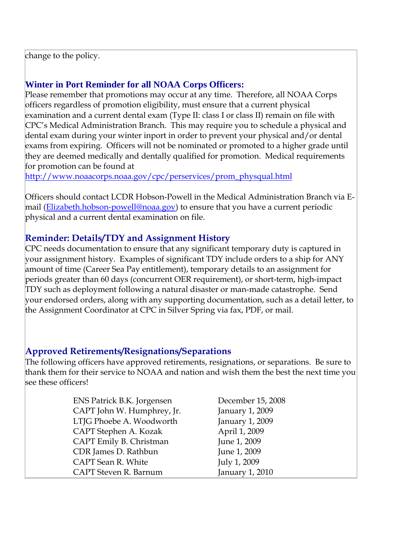change to the policy.

#### **Winter in Port Reminder for all NOAA Corps Officers:**

Please remember that promotions may occur at any time. Therefore, all NOAA Corps officers regardless of promotion eligibility, must ensure that a current physical examination and a current dental exam (Type II: class I or class II) remain on file with CPC's Medical Administration Branch. This may require you to schedule a physical and dental exam during your winter inport in order to prevent your physical and/or dental exams from expiring. Officers will not be nominated or promoted to a higher grade until they are deemed medically and dentally qualified for promotion. Medical requirements for promotion can be found at

[http://www.noaacorps.noaa.gov/cpc/perservices/prom\\_physqual.html](http://www.noaacorps.noaa.gov/cpc/perservices/prom_physqual.html)

Officers should contact LCDR Hobson-Powell in the Medical Administration Branch via E-mail [\(Elizabeth.hobson-powell@noaa.gov\)](mailto:Elizabeth.hobson-powell@noaa.gov) to ensure that you have a current periodic physical and a current dental examination on file.

#### **Reminder: Details/TDY and Assignment History**

CPC needs documentation to ensure that any significant temporary duty is captured in your assignment history. Examples of significant TDY include orders to a ship for ANY amount of time (Career Sea Pay entitlement), temporary details to an assignment for periods greater than 60 days (concurrent OER requirement), or short-term, high-impact TDY such as deployment following a natural disaster or man-made catastrophe. Send your endorsed orders, along with any supporting documentation, such as a detail letter, to the Assignment Coordinator at CPC in Silver Spring via fax, PDF, or mail.

#### **Approved Retirements/Resignations/Separations**

The following officers have approved retirements, resignations, or separations. Be sure to thank them for their service to NOAA and nation and wish them the best the next time you see these officers!

| ENS Patrick B.K. Jorgensen |
|----------------------------|
| CAPT John W. Humphrey, Jr. |
| LTJG Phoebe A. Woodworth   |
| CAPT Stephen A. Kozak      |
| CAPT Emily B. Christman    |
| CDR James D. Rathbun       |
| CAPT Sean R. White         |
| CAPT Steven R. Barnum      |

December 15, 2008 January 1, 2009 January 1, 2009 April 1, 2009 June 1, 2009 June 1, 2009 July 1, 2009 January  $1, 2010$